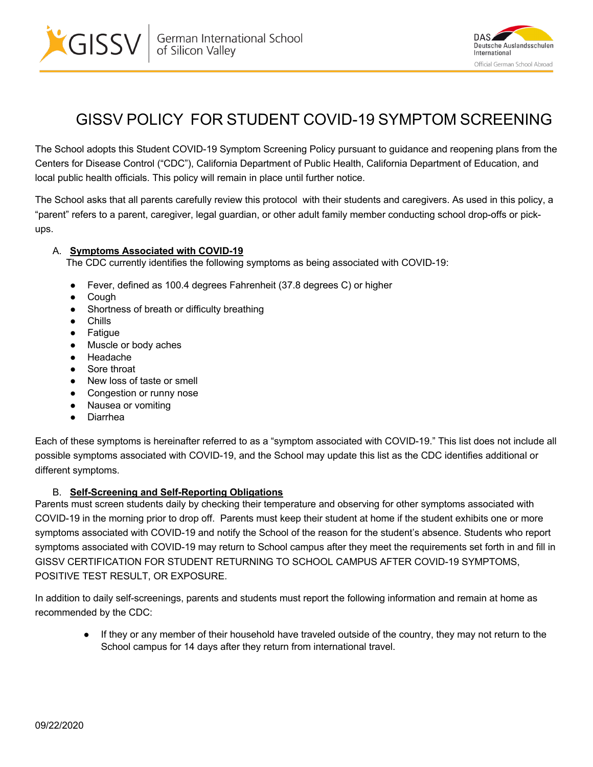



## GISSV POLICY FOR STUDENT COVID-19 SYMPTOM SCREENING

The School adopts this Student COVID-19 Symptom Screening Policy pursuant to guidance and reopening plans from the Centers for Disease Control ("CDC"), California Department of Public Health, California Department of Education, and local public health officials. This policy will remain in place until further notice.

The School asks that all parents carefully review this protocol with their students and caregivers. As used in this policy, a "parent" refers to a parent, caregiver, legal guardian, or other adult family member conducting school drop-offs or pickups.

## A. **Symptoms Associated with COVID-19**

The CDC currently identifies the following symptoms as being associated with COVID-19:

- Fever, defined as 100.4 degrees Fahrenheit (37.8 degrees C) or higher
- Cough
- Shortness of breath or difficulty breathing
- Chills
- Fatigue
- Muscle or body aches
- Headache
- Sore throat
- New loss of taste or smell
- Congestion or runny nose
- Nausea or vomiting
- Diarrhea

Each of these symptoms is hereinafter referred to as a "symptom associated with COVID-19." This list does not include all possible symptoms associated with COVID-19, and the School may update this list as the CDC identifies additional or different symptoms.

## B. **Self-Screening and Self-Reporting Obligations**

Parents must screen students daily by checking their temperature and observing for other symptoms associated with COVID-19 in the morning prior to drop off. Parents must keep their student at home if the student exhibits one or more symptoms associated with COVID-19 and notify the School of the reason for the student's absence. Students who report symptoms associated with COVID-19 may return to School campus after they meet the requirements set forth in and fill in GISSV CERTIFICATION FOR STUDENT RETURNING TO SCHOOL CAMPUS AFTER COVID-19 SYMPTOMS, POSITIVE TEST RESULT, OR EXPOSURE.

In addition to daily self-screenings, parents and students must report the following information and remain at home as recommended by the CDC:

If they or any member of their household have traveled outside of the country, they may not return to the School campus for 14 days after they return from international travel.